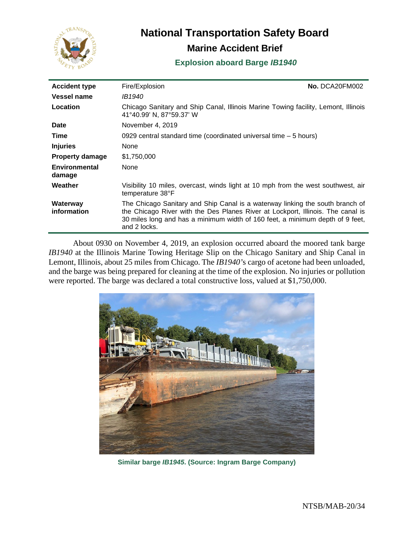

# **National Transportation Safety Board**

# **Marine Accident Brief**

# **Explosion aboard Barge** *IB1940*

| <b>Accident type</b>           | Fire/Explosion                                                                                                                                                                                                                                                    | No. DCA20FM002 |
|--------------------------------|-------------------------------------------------------------------------------------------------------------------------------------------------------------------------------------------------------------------------------------------------------------------|----------------|
| Vessel name                    | <i>IB1940</i>                                                                                                                                                                                                                                                     |                |
| Location                       | Chicago Sanitary and Ship Canal, Illinois Marine Towing facility, Lemont, Illinois<br>41°40.99' N, 87°59.37' W                                                                                                                                                    |                |
| <b>Date</b>                    | November 4, 2019                                                                                                                                                                                                                                                  |                |
| Time                           | 0929 central standard time (coordinated universal time $-5$ hours)                                                                                                                                                                                                |                |
| <b>Injuries</b>                | None                                                                                                                                                                                                                                                              |                |
| <b>Property damage</b>         | \$1,750,000                                                                                                                                                                                                                                                       |                |
| <b>Environmental</b><br>damage | None                                                                                                                                                                                                                                                              |                |
| Weather                        | Visibility 10 miles, overcast, winds light at 10 mph from the west southwest, air<br>temperature 38°F                                                                                                                                                             |                |
| Waterway<br>information        | The Chicago Sanitary and Ship Canal is a waterway linking the south branch of<br>the Chicago River with the Des Planes River at Lockport, Illinois. The canal is<br>30 miles long and has a minimum width of 160 feet, a minimum depth of 9 feet,<br>and 2 locks. |                |

About 0930 on November 4, 2019, an explosion occurred aboard the moored tank barge *IB1940* at the Illinois Marine Towing Heritage Slip on the Chicago Sanitary and Ship Canal in Lemont, Illinois, about 25 miles from Chicago. The *IB1940'*s cargo of acetone had been unloaded, and the barge was being prepared for cleaning at the time of the explosion. No injuries or pollution were reported. The barge was declared a total constructive loss, valued at \$1,750,000.



**Similar barge** *IB1945***. (Source: Ingram Barge Company)**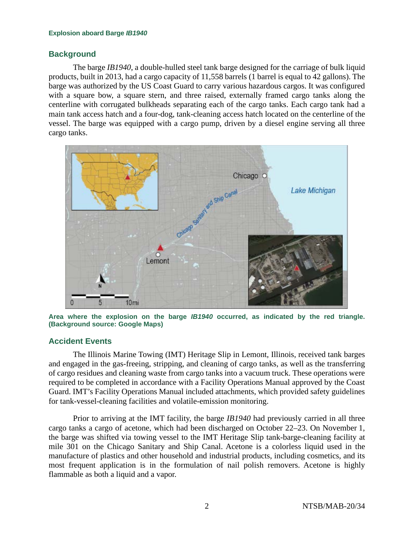### **Background**

The barge *IB1940*, a double-hulled steel tank barge designed for the carriage of bulk liquid products, built in 2013, had a cargo capacity of 11,558 barrels (1 barrel is equal to 42 gallons). The barge was authorized by the US Coast Guard to carry various hazardous cargos. It was configured with a square bow, a square stern, and three raised, externally framed cargo tanks along the centerline with corrugated bulkheads separating each of the cargo tanks. Each cargo tank had a main tank access hatch and a four-dog, tank-cleaning access hatch located on the centerline of the vessel. The barge was equipped with a cargo pump, driven by a diesel engine serving all three cargo tanks.



**Area where the explosion on the barge** *IB1940* **occurred, as indicated by the red triangle. (Background source: Google Maps)**

# **Accident Events**

The Illinois Marine Towing (IMT) Heritage Slip in Lemont, Illinois, received tank barges and engaged in the gas-freeing, stripping, and cleaning of cargo tanks, as well as the transferring of cargo residues and cleaning waste from cargo tanks into a vacuum truck. These operations were required to be completed in accordance with a Facility Operations Manual approved by the Coast Guard. IMT's Facility Operations Manual included attachments, which provided safety guidelines for tank-vessel-cleaning facilities and volatile-emission monitoring.

Prior to arriving at the IMT facility, the barge *IB1940* had previously carried in all three cargo tanks a cargo of acetone, which had been discharged on October 22–23. On November 1, the barge was shifted via towing vessel to the IMT Heritage Slip tank-barge-cleaning facility at mile 301 on the Chicago Sanitary and Ship Canal. Acetone is a colorless liquid used in the manufacture of plastics and other household and industrial products, including cosmetics, and its most frequent application is in the formulation of nail polish removers. Acetone is highly flammable as both a liquid and a vapor.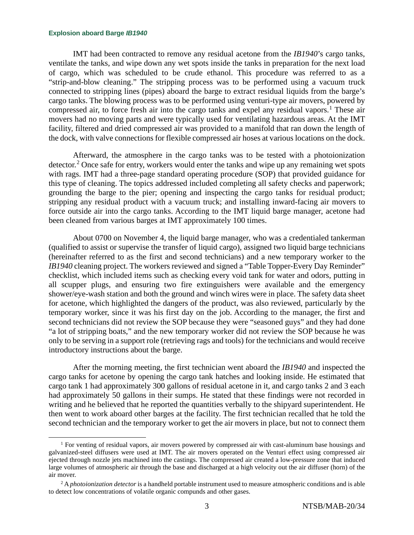IMT had been contracted to remove any residual acetone from the *IB1940*'s cargo tanks, ventilate the tanks, and wipe down any wet spots inside the tanks in preparation for the next load of cargo, which was scheduled to be crude ethanol. This procedure was referred to as a "strip-and-blow cleaning." The stripping process was to be performed using a vacuum truck connected to stripping lines (pipes) aboard the barge to extract residual liquids from the barge's cargo tanks. The blowing process was to be performed using venturi-type air movers, powered by compressed air, to force fresh air into the cargo tanks and expel any residual vapors. [1](#page-2-0) These air movers had no moving parts and were typically used for ventilating hazardous areas. At the IMT facility, filtered and dried compressed air was provided to a manifold that ran down the length of the dock, with valve connections for flexible compressed air hoses at various locations on the dock.

Afterward, the atmosphere in the cargo tanks was to be tested with a photoionization detector.<sup>[2](#page-2-1)</sup> Once safe for entry, workers would enter the tanks and wipe up any remaining wet spots with rags. IMT had a three-page standard operating procedure (SOP) that provided guidance for this type of cleaning. The topics addressed included completing all safety checks and paperwork; grounding the barge to the pier; opening and inspecting the cargo tanks for residual product; stripping any residual product with a vacuum truck; and installing inward-facing air movers to force outside air into the cargo tanks. According to the IMT liquid barge manager, acetone had been cleaned from various barges at IMT approximately 100 times.

About 0700 on November 4, the liquid barge manager, who was a credentialed tankerman (qualified to assist or supervise the transfer of liquid cargo), assigned two liquid barge technicians (hereinafter referred to as the first and second technicians) and a new temporary worker to the *IB1940* cleaning project. The workers reviewed and signed a "Table Topper-Every Day Reminder" checklist, which included items such as checking every void tank for water and odors, putting in all scupper plugs, and ensuring two fire extinguishers were available and the emergency shower/eye-wash station and both the ground and winch wires were in place. The safety data sheet for acetone, which highlighted the dangers of the product, was also reviewed, particularly by the temporary worker, since it was his first day on the job. According to the manager, the first and second technicians did not review the SOP because they were "seasoned guys" and they had done "a lot of stripping boats," and the new temporary worker did not review the SOP because he was only to be serving in a support role (retrieving rags and tools) for the technicians and would receive introductory instructions about the barge.

After the morning meeting, the first technician went aboard the *IB1940* and inspected the cargo tanks for acetone by opening the cargo tank hatches and looking inside. He estimated that cargo tank 1 had approximately 300 gallons of residual acetone in it, and cargo tanks 2 and 3 each had approximately 50 gallons in their sumps. He stated that these findings were not recorded in writing and he believed that he reported the quantities verbally to the shipyard superintendent. He then went to work aboard other barges at the facility. The first technician recalled that he told the second technician and the temporary worker to get the air movers in place, but not to connect them

<span id="page-2-0"></span><sup>1</sup> For venting of residual vapors, air movers powered by compressed air with cast-aluminum base housings and galvanized-steel diffusers were used at IMT. The air movers operated on the Venturi effect using compressed air ejected through nozzle jets machined into the castings. The compressed air created a low-pressure zone that induced large volumes of atmospheric air through the base and discharged at a high velocity out the air diffuser (horn) of the air mover.

<span id="page-2-1"></span><sup>2</sup> A *photoionization detector* is a handheld portable instrument used to measure atmospheric conditions and is able to detect low concentrations of volatile organic compunds and other gases.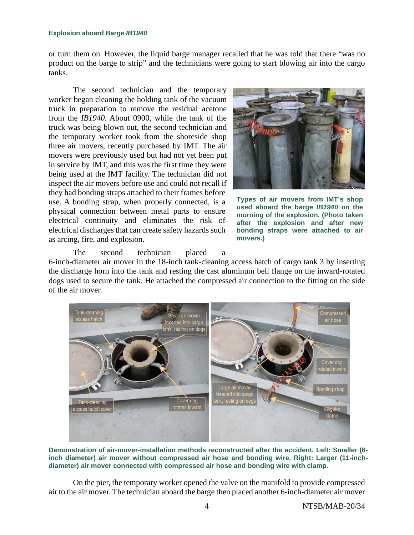or turn them on. However, the liquid barge manager recalled that he was told that there "was no product on the barge to strip" and the technicians were going to start blowing air into the cargo tanks.

The second technician and the temporary worker began cleaning the holding tank of the vacuum truck in preparation to remove the residual acetone from the *IB1940*. About 0900, while the tank of the truck was being blown out, the second technician and the temporary worker took from the shoreside shop three air movers, recently purchased by IMT. The air movers were previously used but had not yet been put in service by IMT, and this was the first time they were being used at the IMT facility. The technician did not inspect the air movers before use and could not recall if they had bonding straps attached to their frames before use. A bonding strap, when properly connected, is a physical connection between metal parts to ensure electrical continuity and eliminates the risk of electrical discharges that can create safety hazards such as arcing, fire, and explosion.



**Types of air movers from IMT's shop used aboard the barge** *IB1940* **on the morning of the explosion. (Photo taken after the explosion and after new bonding straps were attached to air movers.)**

The second technician placed a

6-inch-diameter air mover in the 18-inch tank-cleaning access hatch of cargo tank 3 by inserting the discharge horn into the tank and resting the cast aluminum bell flange on the inward-rotated dogs used to secure the tank. He attached the compressed air connection to the fitting on the side of the air mover.



**Demonstration of air-mover-installation methods reconstructed after the accident***.* **Left: Smaller (6 inch diameter) air mover without compressed air hose and bonding wire. Right: Larger (11-inchdiameter) air mover connected with compressed air hose and bonding wire with clamp.** 

On the pier, the temporary worker opened the valve on the manifold to provide compressed air to the air mover. The technician aboard the barge then placed another 6-inch-diameter air mover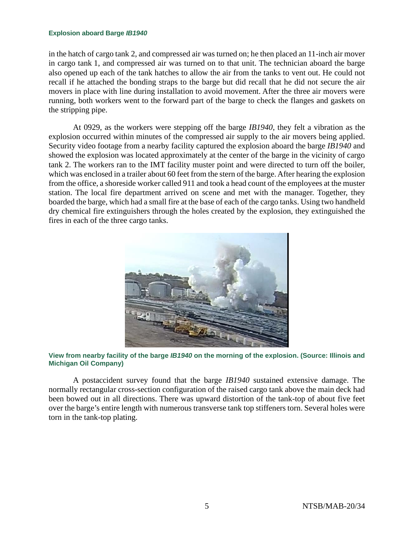in the hatch of cargo tank 2, and compressed air was turned on; he then placed an 11-inch air mover in cargo tank 1, and compressed air was turned on to that unit. The technician aboard the barge also opened up each of the tank hatches to allow the air from the tanks to vent out. He could not recall if he attached the bonding straps to the barge but did recall that he did not secure the air movers in place with line during installation to avoid movement. After the three air movers were running, both workers went to the forward part of the barge to check the flanges and gaskets on the stripping pipe.

At 0929, as the workers were stepping off the barge *IB1940*, they felt a vibration as the explosion occurred within minutes of the compressed air supply to the air movers being applied. Security video footage from a nearby facility captured the explosion aboard the barge *IB1940* and showed the explosion was located approximately at the center of the barge in the vicinity of cargo tank 2. The workers ran to the IMT facility muster point and were directed to turn off the boiler, which was enclosed in a trailer about 60 feet from the stern of the barge. After hearing the explosion from the office, a shoreside worker called 911 and took a head count of the employees at the muster station. The local fire department arrived on scene and met with the manager. Together, they boarded the barge, which had a small fire at the base of each of the cargo tanks. Using two handheld dry chemical fire extinguishers through the holes created by the explosion, they extinguished the fires in each of the three cargo tanks.



**View from nearby facility of the barge** *IB1940* **on the morning of the explosion. (Source: Illinois and Michigan Oil Company)**

A postaccident survey found that the barge *IB1940* sustained extensive damage. The normally rectangular cross-section configuration of the raised cargo tank above the main deck had been bowed out in all directions. There was upward distortion of the tank-top of about five feet over the barge's entire length with numerous transverse tank top stiffeners torn. Several holes were torn in the tank-top plating.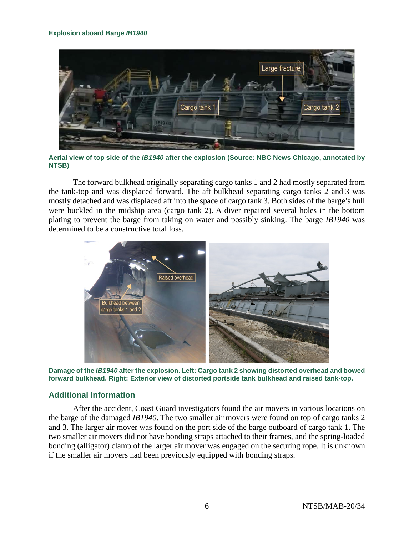

**Aerial view of top side of the** *IB1940* **after the explosion (Source: NBC News Chicago, annotated by NTSB)**

The forward bulkhead originally separating cargo tanks 1 and 2 had mostly separated from the tank-top and was displaced forward. The aft bulkhead separating cargo tanks 2 and 3 was mostly detached and was displaced aft into the space of cargo tank 3. Both sides of the barge's hull were buckled in the midship area (cargo tank 2). A diver repaired several holes in the bottom plating to prevent the barge from taking on water and possibly sinking. The barge *IB1940* was determined to be a constructive total loss.



**Damage of the** *IB1940* **after the explosion. Left: Cargo tank 2 showing distorted overhead and bowed forward bulkhead. Right: Exterior view of distorted portside tank bulkhead and raised tank-top.** 

# **Additional Information**

After the accident, Coast Guard investigators found the air movers in various locations on the barge of the damaged *IB1940*. The two smaller air movers were found on top of cargo tanks 2 and 3. The larger air mover was found on the port side of the barge outboard of cargo tank 1. The two smaller air movers did not have bonding straps attached to their frames, and the spring-loaded bonding (alligator) clamp of the larger air mover was engaged on the securing rope. It is unknown if the smaller air movers had been previously equipped with bonding straps.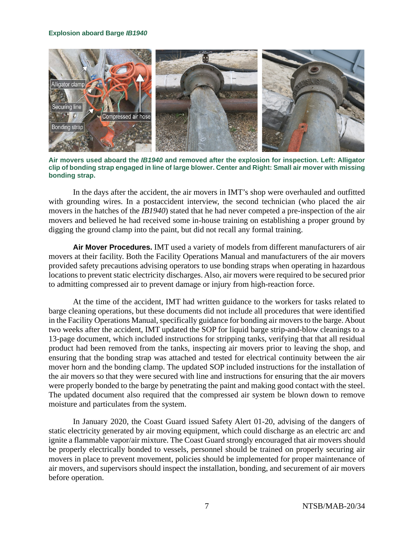

**Air movers used aboard the** *IB1940* **and removed after the explosion for inspection. Left: Alligator clip of bonding strap engaged in line of large blower. Center and Right: Small air mover with missing bonding strap.**

In the days after the accident, the air movers in IMT's shop were overhauled and outfitted with grounding wires. In a postaccident interview, the second technician (who placed the air movers in the hatches of the *IB1940*) stated that he had never competed a pre-inspection of the air movers and believed he had received some in-house training on establishing a proper ground by digging the ground clamp into the paint, but did not recall any formal training.

**Air Mover Procedures.** IMT used a variety of models from different manufacturers of air movers at their facility. Both the Facility Operations Manual and manufacturers of the air movers provided safety precautions advising operators to use bonding straps when operating in hazardous locations to prevent static electricity discharges. Also, air movers were required to be secured prior to admitting compressed air to prevent damage or injury from high-reaction force.

At the time of the accident, IMT had written guidance to the workers for tasks related to barge cleaning operations, but these documents did not include all procedures that were identified in the Facility Operations Manual, specifically guidance for bonding air moversto the barge. About two weeks after the accident, IMT updated the SOP for liquid barge strip-and-blow cleanings to a 13-page document, which included instructions for stripping tanks, verifying that that all residual product had been removed from the tanks, inspecting air movers prior to leaving the shop, and ensuring that the bonding strap was attached and tested for electrical continuity between the air mover horn and the bonding clamp. The updated SOP included instructions for the installation of the air movers so that they were secured with line and instructions for ensuring that the air movers were properly bonded to the barge by penetrating the paint and making good contact with the steel. The updated document also required that the compressed air system be blown down to remove moisture and particulates from the system.

In January 2020, the Coast Guard issued Safety Alert 01-20, advising of the dangers of static electricity generated by air moving equipment, which could discharge as an electric arc and ignite a flammable vapor/air mixture. The Coast Guard strongly encouraged that air movers should be properly electrically bonded to vessels, personnel should be trained on properly securing air movers in place to prevent movement, policies should be implemented for proper maintenance of air movers, and supervisors should inspect the installation, bonding, and securement of air movers before operation.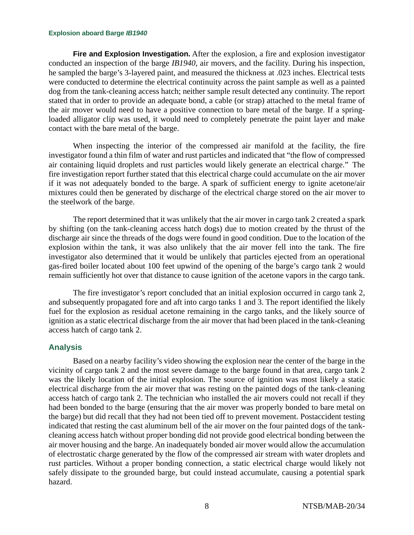**Fire and Explosion Investigation.** After the explosion, a fire and explosion investigator conducted an inspection of the barge *IB1940*, air movers, and the facility. During his inspection, he sampled the barge's 3-layered paint, and measured the thickness at .023 inches. Electrical tests were conducted to determine the electrical continuity across the paint sample as well as a painted dog from the tank-cleaning access hatch; neither sample result detected any continuity. The report stated that in order to provide an adequate bond, a cable (or strap) attached to the metal frame of the air mover would need to have a positive connection to bare metal of the barge. If a springloaded alligator clip was used, it would need to completely penetrate the paint layer and make contact with the bare metal of the barge.

When inspecting the interior of the compressed air manifold at the facility, the fire investigator found a thin film of water and rust particles and indicated that "the flow of compressed air containing liquid droplets and rust particles would likely generate an electrical charge." The fire investigation report further stated that this electrical charge could accumulate on the air mover if it was not adequately bonded to the barge. A spark of sufficient energy to ignite acetone/air mixtures could then be generated by discharge of the electrical charge stored on the air mover to the steelwork of the barge.

The report determined that it was unlikely that the air mover in cargo tank 2 created a spark by shifting (on the tank-cleaning access hatch dogs) due to motion created by the thrust of the discharge air since the threads of the dogs were found in good condition. Due to the location of the explosion within the tank, it was also unlikely that the air mover fell into the tank. The fire investigator also determined that it would be unlikely that particles ejected from an operational gas-fired boiler located about 100 feet upwind of the opening of the barge's cargo tank 2 would remain sufficiently hot over that distance to cause ignition of the acetone vapors in the cargo tank.

The fire investigator's report concluded that an initial explosion occurred in cargo tank 2, and subsequently propagated fore and aft into cargo tanks 1 and 3. The report identified the likely fuel for the explosion as residual acetone remaining in the cargo tanks, and the likely source of ignition as a static electrical discharge from the air mover that had been placed in the tank-cleaning access hatch of cargo tank 2.

### **Analysis**

Based on a nearby facility's video showing the explosion near the center of the barge in the vicinity of cargo tank 2 and the most severe damage to the barge found in that area, cargo tank 2 was the likely location of the initial explosion. The source of ignition was most likely a static electrical discharge from the air mover that was resting on the painted dogs of the tank-cleaning access hatch of cargo tank 2. The technician who installed the air movers could not recall if they had been bonded to the barge (ensuring that the air mover was properly bonded to bare metal on the barge) but did recall that they had not been tied off to prevent movement. Postaccident testing indicated that resting the cast aluminum bell of the air mover on the four painted dogs of the tankcleaning access hatch without proper bonding did not provide good electrical bonding between the air mover housing and the barge. An inadequately bonded air mover would allow the accumulation of electrostatic charge generated by the flow of the compressed air stream with water droplets and rust particles. Without a proper bonding connection, a static electrical charge would likely not safely dissipate to the grounded barge, but could instead accumulate, causing a potential spark hazard.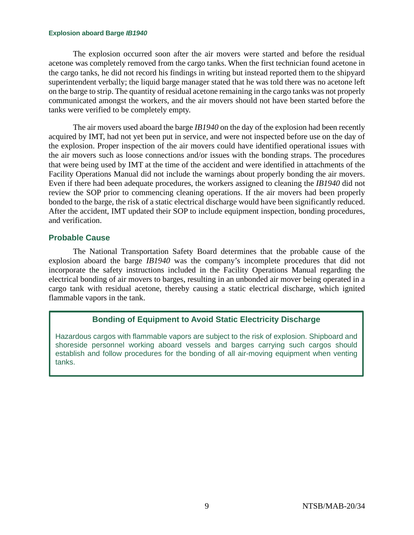The explosion occurred soon after the air movers were started and before the residual acetone was completely removed from the cargo tanks. When the first technician found acetone in the cargo tanks, he did not record his findings in writing but instead reported them to the shipyard superintendent verbally; the liquid barge manager stated that he was told there was no acetone left on the barge to strip. The quantity of residual acetone remaining in the cargo tanks was not properly communicated amongst the workers, and the air movers should not have been started before the tanks were verified to be completely empty.

The air movers used aboard the barge *IB1940* on the day of the explosion had been recently acquired by IMT, had not yet been put in service, and were not inspected before use on the day of the explosion. Proper inspection of the air movers could have identified operational issues with the air movers such as loose connections and/or issues with the bonding straps. The procedures that were being used by IMT at the time of the accident and were identified in attachments of the Facility Operations Manual did not include the warnings about properly bonding the air movers. Even if there had been adequate procedures, the workers assigned to cleaning the *IB1940* did not review the SOP prior to commencing cleaning operations. If the air movers had been properly bonded to the barge, the risk of a static electrical discharge would have been significantly reduced. After the accident, IMT updated their SOP to include equipment inspection, bonding procedures, and verification.

# **Probable Cause**

The National Transportation Safety Board determines that the probable cause of the explosion aboard the barge *IB1940* was the company's incomplete procedures that did not incorporate the safety instructions included in the Facility Operations Manual regarding the electrical bonding of air movers to barges, resulting in an unbonded air mover being operated in a cargo tank with residual acetone, thereby causing a static electrical discharge, which ignited flammable vapors in the tank.

# **Bonding of Equipment to Avoid Static Electricity Discharge**

Hazardous cargos with flammable vapors are subject to the risk of explosion. Shipboard and shoreside personnel working aboard vessels and barges carrying such cargos should establish and follow procedures for the bonding of all air-moving equipment when venting tanks.